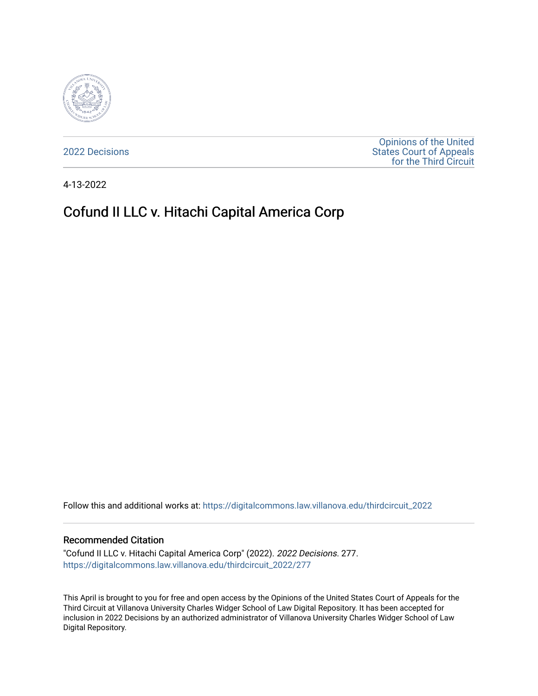

[2022 Decisions](https://digitalcommons.law.villanova.edu/thirdcircuit_2022)

[Opinions of the United](https://digitalcommons.law.villanova.edu/thirdcircuit)  [States Court of Appeals](https://digitalcommons.law.villanova.edu/thirdcircuit)  [for the Third Circuit](https://digitalcommons.law.villanova.edu/thirdcircuit) 

4-13-2022

# Cofund II LLC v. Hitachi Capital America Corp

Follow this and additional works at: [https://digitalcommons.law.villanova.edu/thirdcircuit\\_2022](https://digitalcommons.law.villanova.edu/thirdcircuit_2022?utm_source=digitalcommons.law.villanova.edu%2Fthirdcircuit_2022%2F277&utm_medium=PDF&utm_campaign=PDFCoverPages) 

#### Recommended Citation

"Cofund II LLC v. Hitachi Capital America Corp" (2022). 2022 Decisions. 277. [https://digitalcommons.law.villanova.edu/thirdcircuit\\_2022/277](https://digitalcommons.law.villanova.edu/thirdcircuit_2022/277?utm_source=digitalcommons.law.villanova.edu%2Fthirdcircuit_2022%2F277&utm_medium=PDF&utm_campaign=PDFCoverPages)

This April is brought to you for free and open access by the Opinions of the United States Court of Appeals for the Third Circuit at Villanova University Charles Widger School of Law Digital Repository. It has been accepted for inclusion in 2022 Decisions by an authorized administrator of Villanova University Charles Widger School of Law Digital Repository.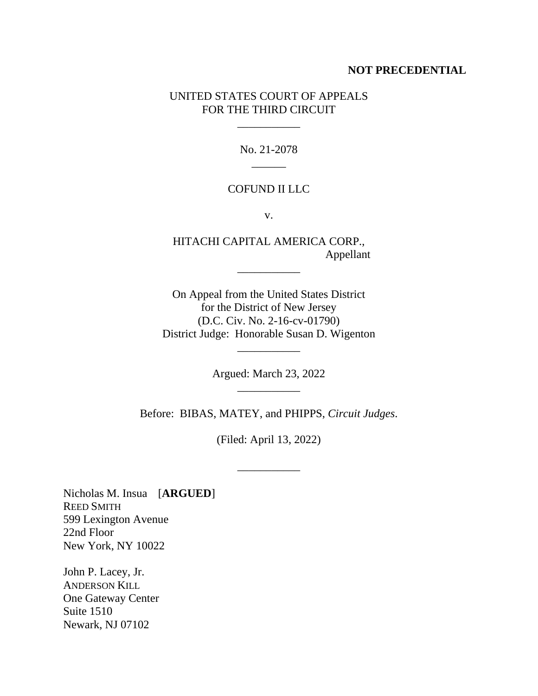## **NOT PRECEDENTIAL**

# UNITED STATES COURT OF APPEALS FOR THE THIRD CIRCUIT

\_\_\_\_\_\_\_\_\_\_\_

No. 21-2078  $\overline{\phantom{a}}$ 

## COFUND II LLC

v.

HITACHI CAPITAL AMERICA CORP., Appellant

\_\_\_\_\_\_\_\_\_\_\_

On Appeal from the United States District for the District of New Jersey (D.C. Civ. No. 2-16-cv-01790) District Judge: Honorable Susan D. Wigenton

> Argued: March 23, 2022 \_\_\_\_\_\_\_\_\_\_\_

\_\_\_\_\_\_\_\_\_\_\_

Before: BIBAS, MATEY, and PHIPPS, *Circuit Judges*.

(Filed: April 13, 2022)

\_\_\_\_\_\_\_\_\_\_\_

Nicholas M. Insua [**ARGUED**] REED SMITH 599 Lexington Avenue 22nd Floor New York, NY 10022

John P. Lacey, Jr. ANDERSON KILL One Gateway Center Suite 1510 Newark, NJ 07102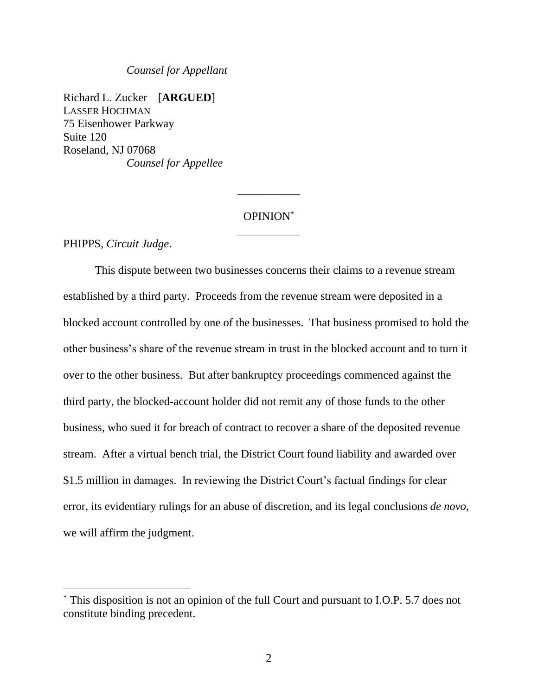#### *Counsel for Appellant*

Richard L. Zucker [**ARGUED**] LASSER HOCHMAN 75 Eisenhower Parkway Suite 120 Roseland, NJ 07068 *Counsel for Appellee*

# OPINION\* \_\_\_\_\_\_\_\_\_\_\_

\_\_\_\_\_\_\_\_\_\_\_

PHIPPS, *Circuit Judge*.

This dispute between two businesses concerns their claims to a revenue stream established by a third party. Proceeds from the revenue stream were deposited in a blocked account controlled by one of the businesses. That business promised to hold the other business's share of the revenue stream in trust in the blocked account and to turn it over to the other business. But after bankruptcy proceedings commenced against the third party, the blocked-account holder did not remit any of those funds to the other business, who sued it for breach of contract to recover a share of the deposited revenue stream. After a virtual bench trial, the District Court found liability and awarded over \$1.5 million in damages. In reviewing the District Court's factual findings for clear error, its evidentiary rulings for an abuse of discretion, and its legal conclusions *de novo*, we will affirm the judgment.

<sup>\*</sup> This disposition is not an opinion of the full Court and pursuant to I.O.P. 5.7 does not constitute binding precedent.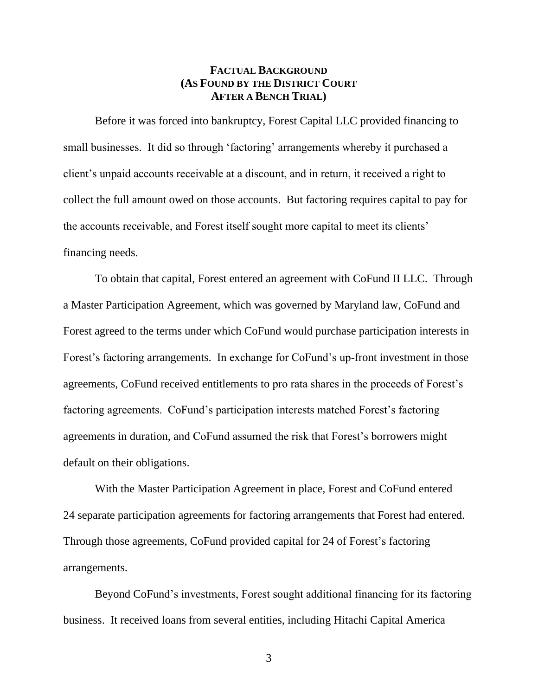# **FACTUAL BACKGROUND (AS FOUND BY THE DISTRICT COURT AFTER A BENCH TRIAL)**

Before it was forced into bankruptcy, Forest Capital LLC provided financing to small businesses. It did so through 'factoring' arrangements whereby it purchased a client's unpaid accounts receivable at a discount, and in return, it received a right to collect the full amount owed on those accounts. But factoring requires capital to pay for the accounts receivable, and Forest itself sought more capital to meet its clients' financing needs.

To obtain that capital, Forest entered an agreement with CoFund II LLC. Through a Master Participation Agreement, which was governed by Maryland law, CoFund and Forest agreed to the terms under which CoFund would purchase participation interests in Forest's factoring arrangements. In exchange for CoFund's up-front investment in those agreements, CoFund received entitlements to pro rata shares in the proceeds of Forest's factoring agreements. CoFund's participation interests matched Forest's factoring agreements in duration, and CoFund assumed the risk that Forest's borrowers might default on their obligations.

With the Master Participation Agreement in place, Forest and CoFund entered 24 separate participation agreements for factoring arrangements that Forest had entered. Through those agreements, CoFund provided capital for 24 of Forest's factoring arrangements.

Beyond CoFund's investments, Forest sought additional financing for its factoring business. It received loans from several entities, including Hitachi Capital America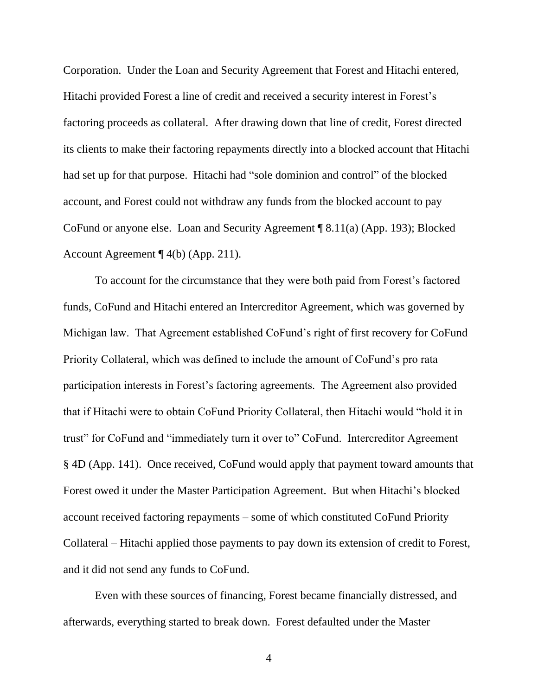Corporation. Under the Loan and Security Agreement that Forest and Hitachi entered, Hitachi provided Forest a line of credit and received a security interest in Forest's factoring proceeds as collateral. After drawing down that line of credit, Forest directed its clients to make their factoring repayments directly into a blocked account that Hitachi had set up for that purpose. Hitachi had "sole dominion and control" of the blocked account, and Forest could not withdraw any funds from the blocked account to pay CoFund or anyone else. Loan and Security Agreement ¶ 8.11(a) (App. 193); Blocked Account Agreement ¶ 4(b) (App. 211).

To account for the circumstance that they were both paid from Forest's factored funds, CoFund and Hitachi entered an Intercreditor Agreement, which was governed by Michigan law. That Agreement established CoFund's right of first recovery for CoFund Priority Collateral, which was defined to include the amount of CoFund's pro rata participation interests in Forest's factoring agreements. The Agreement also provided that if Hitachi were to obtain CoFund Priority Collateral, then Hitachi would "hold it in trust" for CoFund and "immediately turn it over to" CoFund. Intercreditor Agreement § 4D (App. 141). Once received, CoFund would apply that payment toward amounts that Forest owed it under the Master Participation Agreement. But when Hitachi's blocked account received factoring repayments – some of which constituted CoFund Priority Collateral – Hitachi applied those payments to pay down its extension of credit to Forest, and it did not send any funds to CoFund.

Even with these sources of financing, Forest became financially distressed, and afterwards, everything started to break down. Forest defaulted under the Master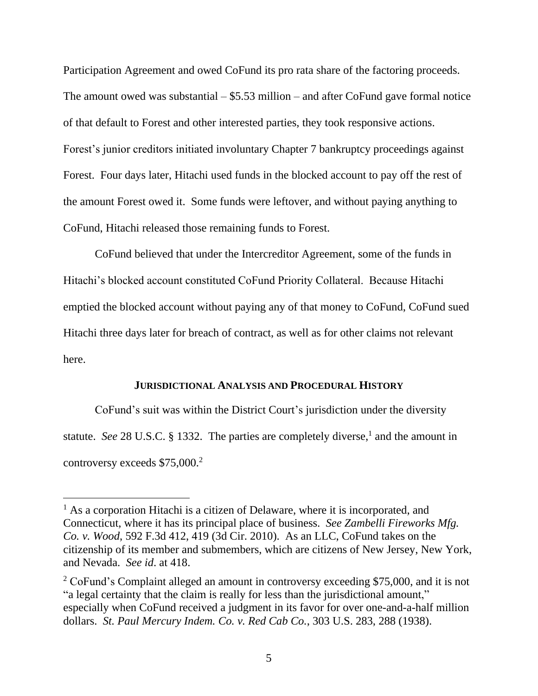Participation Agreement and owed CoFund its pro rata share of the factoring proceeds. The amount owed was substantial  $-$  \$5.53 million – and after CoFund gave formal notice of that default to Forest and other interested parties, they took responsive actions. Forest's junior creditors initiated involuntary Chapter 7 bankruptcy proceedings against Forest. Four days later, Hitachi used funds in the blocked account to pay off the rest of the amount Forest owed it. Some funds were leftover, and without paying anything to CoFund, Hitachi released those remaining funds to Forest.

CoFund believed that under the Intercreditor Agreement, some of the funds in Hitachi's blocked account constituted CoFund Priority Collateral. Because Hitachi emptied the blocked account without paying any of that money to CoFund, CoFund sued Hitachi three days later for breach of contract, as well as for other claims not relevant here.

#### **JURISDICTIONAL ANALYSIS AND PROCEDURAL HISTORY**

CoFund's suit was within the District Court's jurisdiction under the diversity statute. *See* 28 U.S.C. § 1332. The parties are completely diverse,<sup>1</sup> and the amount in controversy exceeds \$75,000.<sup>2</sup>

 $<sup>1</sup>$  As a corporation Hitachi is a citizen of Delaware, where it is incorporated, and</sup> Connecticut, where it has its principal place of business. *See Zambelli Fireworks Mfg. Co. v. Wood*, 592 F.3d 412, 419 (3d Cir. 2010). As an LLC, CoFund takes on the citizenship of its member and submembers, which are citizens of New Jersey, New York, and Nevada. *See id*. at 418.

<sup>&</sup>lt;sup>2</sup> CoFund's Complaint alleged an amount in controversy exceeding \$75,000, and it is not "a legal certainty that the claim is really for less than the jurisdictional amount," especially when CoFund received a judgment in its favor for over one-and-a-half million dollars. *St. Paul Mercury Indem. Co. v. Red Cab Co.*, 303 U.S. 283, 288 (1938).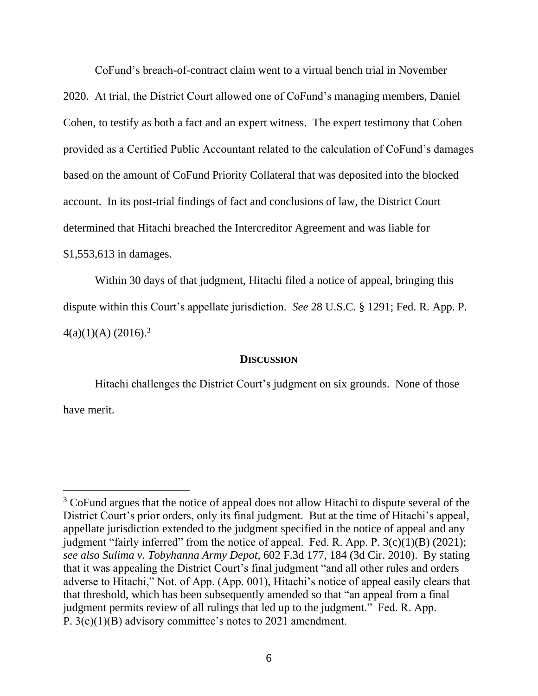CoFund's breach-of-contract claim went to a virtual bench trial in November 2020. At trial, the District Court allowed one of CoFund's managing members, Daniel Cohen, to testify as both a fact and an expert witness. The expert testimony that Cohen provided as a Certified Public Accountant related to the calculation of CoFund's damages based on the amount of CoFund Priority Collateral that was deposited into the blocked account. In its post-trial findings of fact and conclusions of law, the District Court determined that Hitachi breached the Intercreditor Agreement and was liable for \$1,553,613 in damages.

Within 30 days of that judgment, Hitachi filed a notice of appeal, bringing this dispute within this Court's appellate jurisdiction. *See* 28 U.S.C. § 1291; Fed. R. App. P.  $4(a)(1)(A) (2016).<sup>3</sup>$ 

#### **DISCUSSION**

Hitachi challenges the District Court's judgment on six grounds. None of those have merit.

<sup>&</sup>lt;sup>3</sup> CoFund argues that the notice of appeal does not allow Hitachi to dispute several of the District Court's prior orders, only its final judgment. But at the time of Hitachi's appeal, appellate jurisdiction extended to the judgment specified in the notice of appeal and any judgment "fairly inferred" from the notice of appeal. Fed. R. App. P.  $3(c)(1)(B)$  (2021); *see also Sulima v. Tobyhanna Army Depot*, 602 F.3d 177, 184 (3d Cir. 2010). By stating that it was appealing the District Court's final judgment "and all other rules and orders adverse to Hitachi," Not. of App. (App. 001), Hitachi's notice of appeal easily clears that that threshold, which has been subsequently amended so that "an appeal from a final judgment permits review of all rulings that led up to the judgment." Fed. R. App. P. 3(c)(1)(B) advisory committee's notes to 2021 amendment.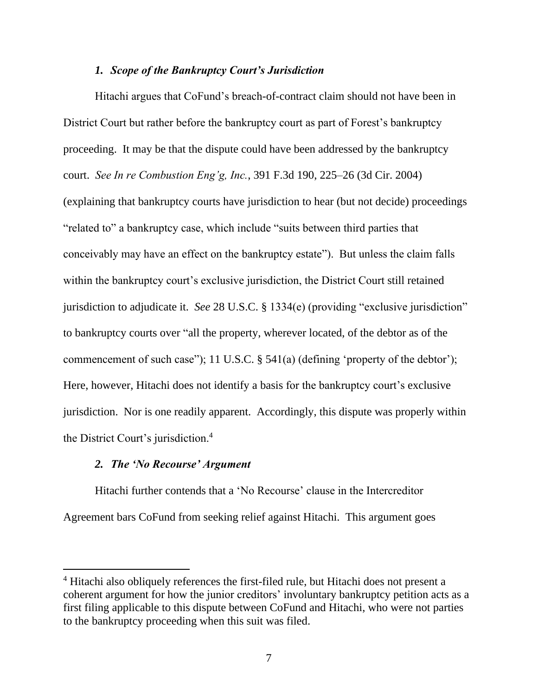## *1. Scope of the Bankruptcy Court's Jurisdiction*

Hitachi argues that CoFund's breach-of-contract claim should not have been in District Court but rather before the bankruptcy court as part of Forest's bankruptcy proceeding. It may be that the dispute could have been addressed by the bankruptcy court. *See In re Combustion Eng'g, Inc.*, 391 F.3d 190, 225–26 (3d Cir. 2004) (explaining that bankruptcy courts have jurisdiction to hear (but not decide) proceedings "related to" a bankruptcy case, which include "suits between third parties that conceivably may have an effect on the bankruptcy estate"). But unless the claim falls within the bankruptcy court's exclusive jurisdiction, the District Court still retained jurisdiction to adjudicate it. *See* 28 U.S.C. § 1334(e) (providing "exclusive jurisdiction" to bankruptcy courts over "all the property, wherever located, of the debtor as of the commencement of such case"); 11 U.S.C. § 541(a) (defining 'property of the debtor'); Here, however, Hitachi does not identify a basis for the bankruptcy court's exclusive jurisdiction. Nor is one readily apparent. Accordingly, this dispute was properly within the District Court's jurisdiction.<sup>4</sup>

# *2. The 'No Recourse' Argument*

Hitachi further contends that a 'No Recourse' clause in the Intercreditor Agreement bars CoFund from seeking relief against Hitachi. This argument goes

<sup>4</sup> Hitachi also obliquely references the first-filed rule, but Hitachi does not present a coherent argument for how the junior creditors' involuntary bankruptcy petition acts as a first filing applicable to this dispute between CoFund and Hitachi, who were not parties to the bankruptcy proceeding when this suit was filed.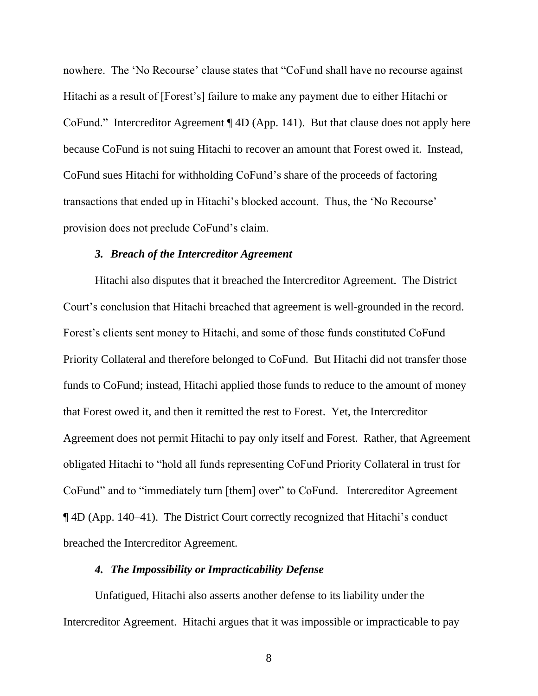nowhere. The 'No Recourse' clause states that "CoFund shall have no recourse against Hitachi as a result of [Forest's] failure to make any payment due to either Hitachi or CoFund." Intercreditor Agreement ¶ 4D (App. 141). But that clause does not apply here because CoFund is not suing Hitachi to recover an amount that Forest owed it. Instead, CoFund sues Hitachi for withholding CoFund's share of the proceeds of factoring transactions that ended up in Hitachi's blocked account. Thus, the 'No Recourse' provision does not preclude CoFund's claim.

## *3. Breach of the Intercreditor Agreement*

Hitachi also disputes that it breached the Intercreditor Agreement. The District Court's conclusion that Hitachi breached that agreement is well-grounded in the record. Forest's clients sent money to Hitachi, and some of those funds constituted CoFund Priority Collateral and therefore belonged to CoFund. But Hitachi did not transfer those funds to CoFund; instead, Hitachi applied those funds to reduce to the amount of money that Forest owed it, and then it remitted the rest to Forest. Yet, the Intercreditor Agreement does not permit Hitachi to pay only itself and Forest. Rather, that Agreement obligated Hitachi to "hold all funds representing CoFund Priority Collateral in trust for CoFund" and to "immediately turn [them] over" to CoFund. Intercreditor Agreement ¶ 4D (App. 140–41). The District Court correctly recognized that Hitachi's conduct breached the Intercreditor Agreement.

## *4. The Impossibility or Impracticability Defense*

Unfatigued, Hitachi also asserts another defense to its liability under the Intercreditor Agreement. Hitachi argues that it was impossible or impracticable to pay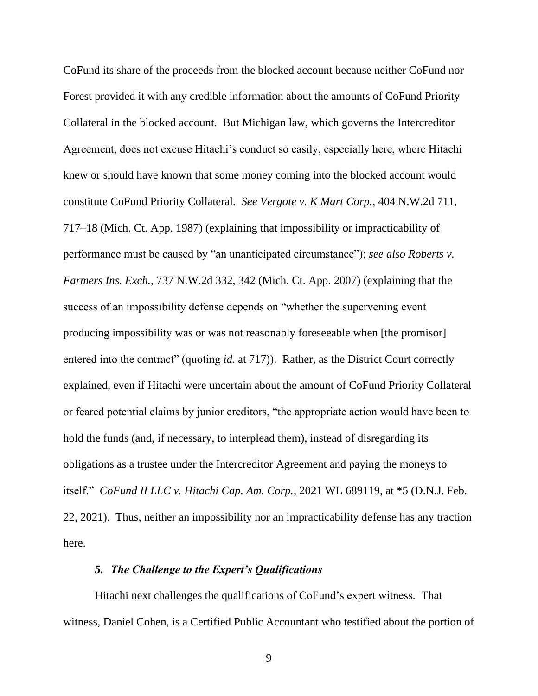CoFund its share of the proceeds from the blocked account because neither CoFund nor Forest provided it with any credible information about the amounts of CoFund Priority Collateral in the blocked account. But Michigan law, which governs the Intercreditor Agreement, does not excuse Hitachi's conduct so easily, especially here, where Hitachi knew or should have known that some money coming into the blocked account would constitute CoFund Priority Collateral. *See Vergote v. K Mart Corp.*, 404 N.W.2d 711, 717–18 (Mich. Ct. App. 1987) (explaining that impossibility or impracticability of performance must be caused by "an unanticipated circumstance"); *see also Roberts v. Farmers Ins. Exch.*, 737 N.W.2d 332, 342 (Mich. Ct. App. 2007) (explaining that the success of an impossibility defense depends on "whether the supervening event producing impossibility was or was not reasonably foreseeable when [the promisor] entered into the contract" (quoting *id.* at 717)). Rather, as the District Court correctly explained, even if Hitachi were uncertain about the amount of CoFund Priority Collateral or feared potential claims by junior creditors, "the appropriate action would have been to hold the funds (and, if necessary, to interplead them), instead of disregarding its obligations as a trustee under the Intercreditor Agreement and paying the moneys to itself." *CoFund II LLC v. Hitachi Cap. Am. Corp.*, 2021 WL 689119, at \*5 (D.N.J. Feb. 22, 2021). Thus, neither an impossibility nor an impracticability defense has any traction here.

# *5. The Challenge to the Expert's Qualifications*

Hitachi next challenges the qualifications of CoFund's expert witness. That witness, Daniel Cohen, is a Certified Public Accountant who testified about the portion of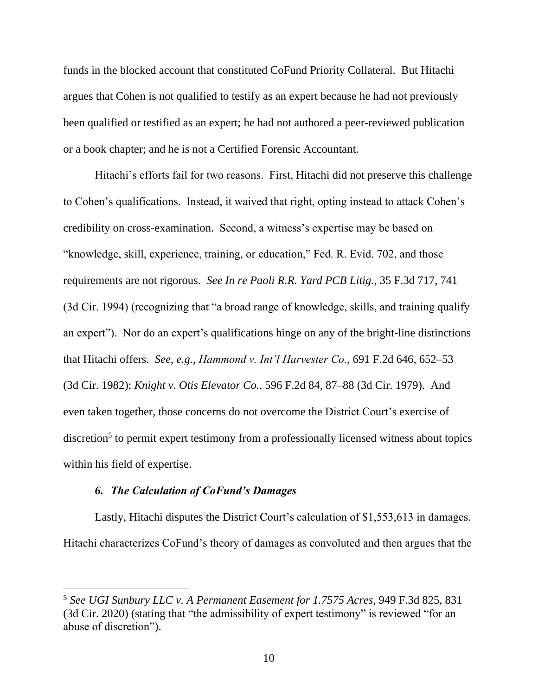funds in the blocked account that constituted CoFund Priority Collateral. But Hitachi argues that Cohen is not qualified to testify as an expert because he had not previously been qualified or testified as an expert; he had not authored a peer-reviewed publication or a book chapter; and he is not a Certified Forensic Accountant.

Hitachi's efforts fail for two reasons. First, Hitachi did not preserve this challenge to Cohen's qualifications. Instead, it waived that right, opting instead to attack Cohen's credibility on cross-examination. Second, a witness's expertise may be based on "knowledge, skill, experience, training, or education," Fed. R. Evid. 702, and those requirements are not rigorous. *See In re Paoli R.R. Yard PCB Litig.*, 35 F.3d 717, 741 (3d Cir. 1994) (recognizing that "a broad range of knowledge, skills, and training qualify an expert"). Nor do an expert's qualifications hinge on any of the bright-line distinctions that Hitachi offers. *See, e.g.*, *Hammond v. Int'l Harvester Co.*, 691 F.2d 646, 652–53 (3d Cir. 1982); *Knight v. Otis Elevator Co.*, 596 F.2d 84, 87–88 (3d Cir. 1979). And even taken together, those concerns do not overcome the District Court's exercise of discretion<sup>5</sup> to permit expert testimony from a professionally licensed witness about topics within his field of expertise.

# *6. The Calculation of CoFund's Damages*

Lastly, Hitachi disputes the District Court's calculation of \$1,553,613 in damages. Hitachi characterizes CoFund's theory of damages as convoluted and then argues that the

<sup>5</sup> *See UGI Sunbury LLC v. A Permanent Easement for 1.7575 Acres*, 949 F.3d 825, 831 (3d Cir. 2020) (stating that "the admissibility of expert testimony" is reviewed "for an abuse of discretion").